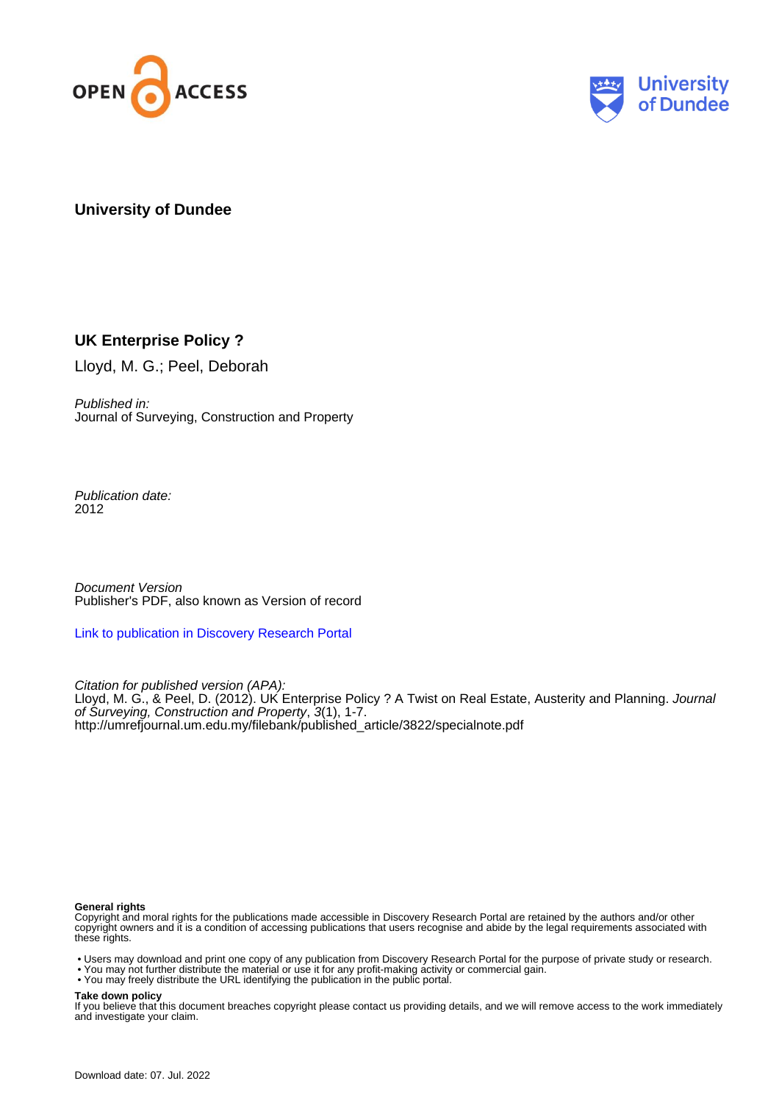



## **University of Dundee**

## **UK Enterprise Policy ?**

Lloyd, M. G.; Peel, Deborah

Published in: Journal of Surveying, Construction and Property

Publication date: 2012

Document Version Publisher's PDF, also known as Version of record

[Link to publication in Discovery Research Portal](https://discovery.dundee.ac.uk/en/publications/13f16fdd-e1ed-49e2-b402-60a1426a23f1)

Citation for published version (APA): Lloyd, M. G., & Peel, D. (2012). UK Enterprise Policy ? A Twist on Real Estate, Austerity and Planning. Journal of Surveying, Construction and Property, 3(1), 1-7. [http://umrefjournal.um.edu.my/filebank/published\\_article/3822/specialnote.pdf](http://umrefjournal.um.edu.my/filebank/published_article/3822/specialnote.pdf)

#### **General rights**

Copyright and moral rights for the publications made accessible in Discovery Research Portal are retained by the authors and/or other copyright owners and it is a condition of accessing publications that users recognise and abide by the legal requirements associated with these rights.

- Users may download and print one copy of any publication from Discovery Research Portal for the purpose of private study or research.
- You may not further distribute the material or use it for any profit-making activity or commercial gain.
- You may freely distribute the URL identifying the publication in the public portal.

**Take down policy**

If you believe that this document breaches copyright please contact us providing details, and we will remove access to the work immediately and investigate your claim.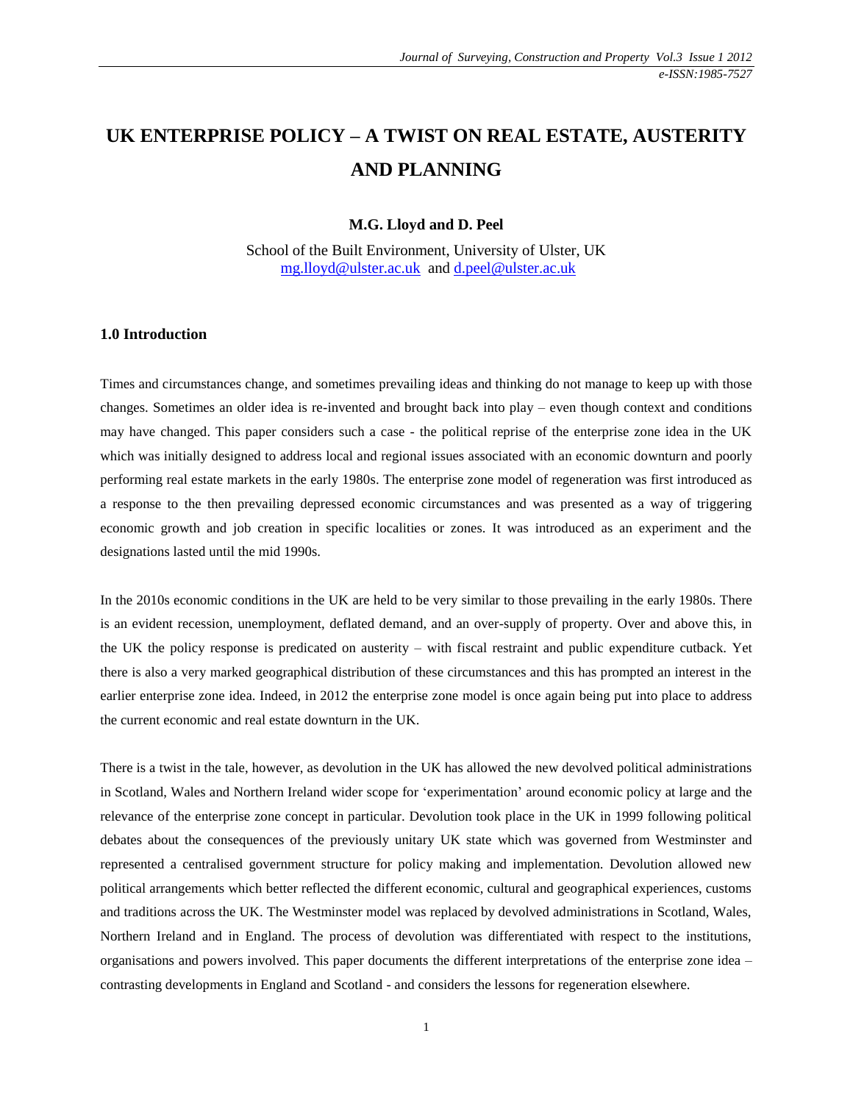# **UK ENTERPRISE POLICY – A TWIST ON REAL ESTATE, AUSTERITY AND PLANNING**

**M.G. Lloyd and D. Peel**

School of the Built Environment, University of Ulster, UK [mg.lloyd@ulster.ac.uk](mailto:mg.lloyd@ulster.ac.uk) and [d.peel@ulster.ac.uk](mailto:d.peel@ulster.ac.uk)

#### **1.0 Introduction**

Times and circumstances change, and sometimes prevailing ideas and thinking do not manage to keep up with those changes. Sometimes an older idea is re-invented and brought back into play – even though context and conditions may have changed. This paper considers such a case - the political reprise of the enterprise zone idea in the UK which was initially designed to address local and regional issues associated with an economic downturn and poorly performing real estate markets in the early 1980s. The enterprise zone model of regeneration was first introduced as a response to the then prevailing depressed economic circumstances and was presented as a way of triggering economic growth and job creation in specific localities or zones. It was introduced as an experiment and the designations lasted until the mid 1990s.

In the 2010s economic conditions in the UK are held to be very similar to those prevailing in the early 1980s. There is an evident recession, unemployment, deflated demand, and an over-supply of property. Over and above this, in the UK the policy response is predicated on austerity – with fiscal restraint and public expenditure cutback. Yet there is also a very marked geographical distribution of these circumstances and this has prompted an interest in the earlier enterprise zone idea. Indeed, in 2012 the enterprise zone model is once again being put into place to address the current economic and real estate downturn in the UK.

There is a twist in the tale, however, as devolution in the UK has allowed the new devolved political administrations in Scotland, Wales and Northern Ireland wider scope for 'experimentation' around economic policy at large and the relevance of the enterprise zone concept in particular. Devolution took place in the UK in 1999 following political debates about the consequences of the previously unitary UK state which was governed from Westminster and represented a centralised government structure for policy making and implementation. Devolution allowed new political arrangements which better reflected the different economic, cultural and geographical experiences, customs and traditions across the UK. The Westminster model was replaced by devolved administrations in Scotland, Wales, Northern Ireland and in England. The process of devolution was differentiated with respect to the institutions, organisations and powers involved. This paper documents the different interpretations of the enterprise zone idea – contrasting developments in England and Scotland - and considers the lessons for regeneration elsewhere.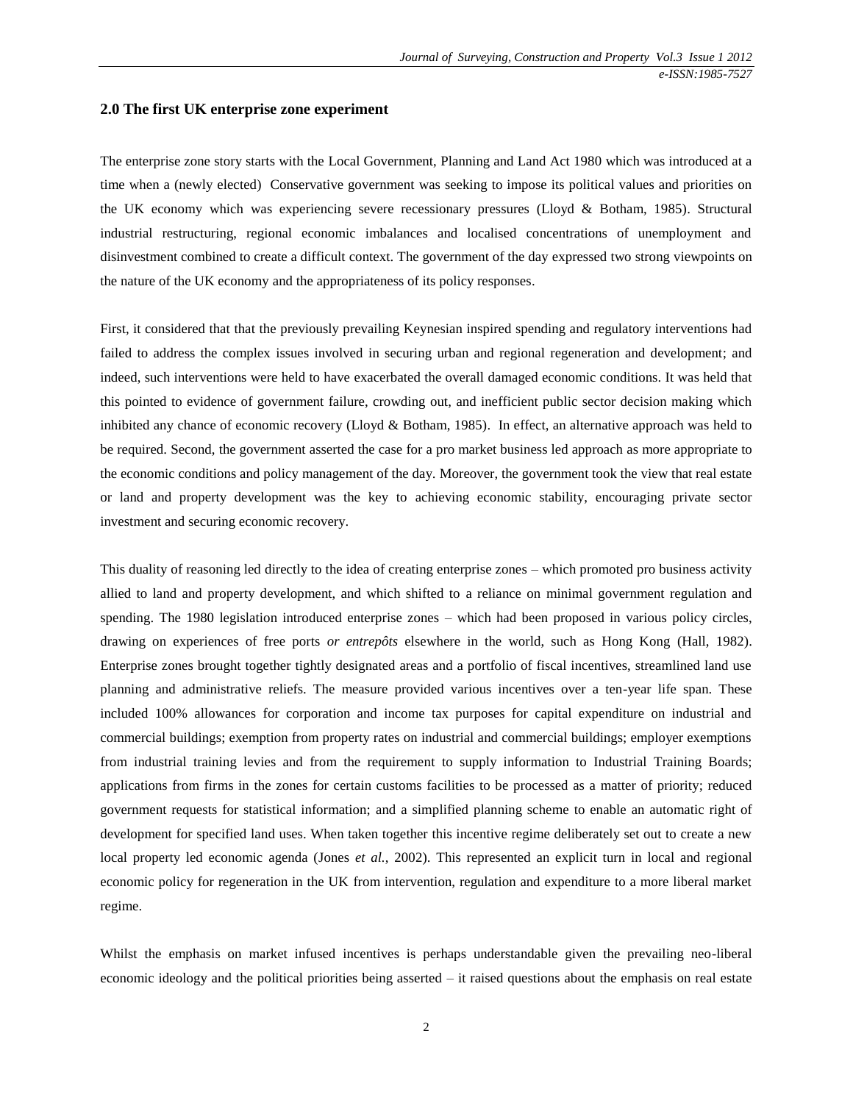#### **2.0 The first UK enterprise zone experiment**

The enterprise zone story starts with the Local Government, Planning and Land Act 1980 which was introduced at a time when a (newly elected) Conservative government was seeking to impose its political values and priorities on the UK economy which was experiencing severe recessionary pressures (Lloyd & Botham, 1985). Structural industrial restructuring, regional economic imbalances and localised concentrations of unemployment and disinvestment combined to create a difficult context. The government of the day expressed two strong viewpoints on the nature of the UK economy and the appropriateness of its policy responses.

First, it considered that that the previously prevailing Keynesian inspired spending and regulatory interventions had failed to address the complex issues involved in securing urban and regional regeneration and development; and indeed, such interventions were held to have exacerbated the overall damaged economic conditions. It was held that this pointed to evidence of government failure, crowding out, and inefficient public sector decision making which inhibited any chance of economic recovery (Lloyd & Botham, 1985). In effect, an alternative approach was held to be required. Second, the government asserted the case for a pro market business led approach as more appropriate to the economic conditions and policy management of the day. Moreover, the government took the view that real estate or land and property development was the key to achieving economic stability, encouraging private sector investment and securing economic recovery.

This duality of reasoning led directly to the idea of creating enterprise zones – which promoted pro business activity allied to land and property development, and which shifted to a reliance on minimal government regulation and spending. The 1980 legislation introduced enterprise zones – which had been proposed in various policy circles, drawing on experiences of free ports *or entrepôts* elsewhere in the world, such as Hong Kong (Hall, 1982). Enterprise zones brought together tightly designated areas and a portfolio of fiscal incentives, streamlined land use planning and administrative reliefs. The measure provided various incentives over a ten-year life span. These included 100% allowances for corporation and income tax purposes for capital expenditure on industrial and commercial buildings; exemption from property rates on industrial and commercial buildings; employer exemptions from industrial training levies and from the requirement to supply information to Industrial Training Boards; applications from firms in the zones for certain customs facilities to be processed as a matter of priority; reduced government requests for statistical information; and a simplified planning scheme to enable an automatic right of development for specified land uses. When taken together this incentive regime deliberately set out to create a new local property led economic agenda (Jones *et al.*, 2002). This represented an explicit turn in local and regional economic policy for regeneration in the UK from intervention, regulation and expenditure to a more liberal market regime.

Whilst the emphasis on market infused incentives is perhaps understandable given the prevailing neo-liberal economic ideology and the political priorities being asserted – it raised questions about the emphasis on real estate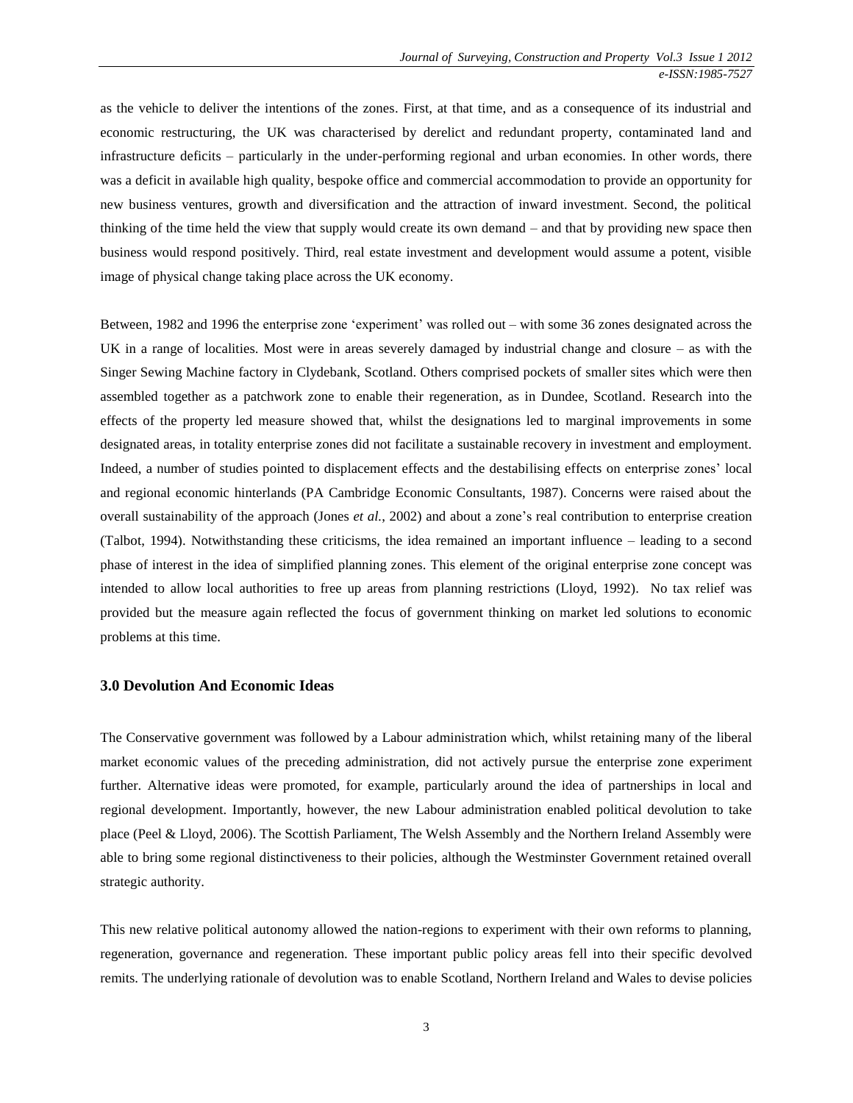as the vehicle to deliver the intentions of the zones. First, at that time, and as a consequence of its industrial and economic restructuring, the UK was characterised by derelict and redundant property, contaminated land and infrastructure deficits – particularly in the under-performing regional and urban economies. In other words, there was a deficit in available high quality, bespoke office and commercial accommodation to provide an opportunity for new business ventures, growth and diversification and the attraction of inward investment. Second, the political thinking of the time held the view that supply would create its own demand – and that by providing new space then business would respond positively. Third, real estate investment and development would assume a potent, visible image of physical change taking place across the UK economy.

Between, 1982 and 1996 the enterprise zone 'experiment' was rolled out – with some 36 zones designated across the UK in a range of localities. Most were in areas severely damaged by industrial change and closure – as with the Singer Sewing Machine factory in Clydebank, Scotland. Others comprised pockets of smaller sites which were then assembled together as a patchwork zone to enable their regeneration, as in Dundee, Scotland. Research into the effects of the property led measure showed that, whilst the designations led to marginal improvements in some designated areas, in totality enterprise zones did not facilitate a sustainable recovery in investment and employment. Indeed, a number of studies pointed to displacement effects and the destabilising effects on enterprise zones' local and regional economic hinterlands (PA Cambridge Economic Consultants, 1987). Concerns were raised about the overall sustainability of the approach (Jones *et al.*, 2002) and about a zone's real contribution to enterprise creation (Talbot, 1994). Notwithstanding these criticisms, the idea remained an important influence – leading to a second phase of interest in the idea of simplified planning zones. This element of the original enterprise zone concept was intended to allow local authorities to free up areas from planning restrictions (Lloyd, 1992). No tax relief was provided but the measure again reflected the focus of government thinking on market led solutions to economic problems at this time.

#### **3.0 Devolution And Economic Ideas**

The Conservative government was followed by a Labour administration which, whilst retaining many of the liberal market economic values of the preceding administration, did not actively pursue the enterprise zone experiment further. Alternative ideas were promoted, for example, particularly around the idea of partnerships in local and regional development. Importantly, however, the new Labour administration enabled political devolution to take place (Peel & Lloyd, 2006). The Scottish Parliament, The Welsh Assembly and the Northern Ireland Assembly were able to bring some regional distinctiveness to their policies, although the Westminster Government retained overall strategic authority.

This new relative political autonomy allowed the nation-regions to experiment with their own reforms to planning, regeneration, governance and regeneration. These important public policy areas fell into their specific devolved remits. The underlying rationale of devolution was to enable Scotland, Northern Ireland and Wales to devise policies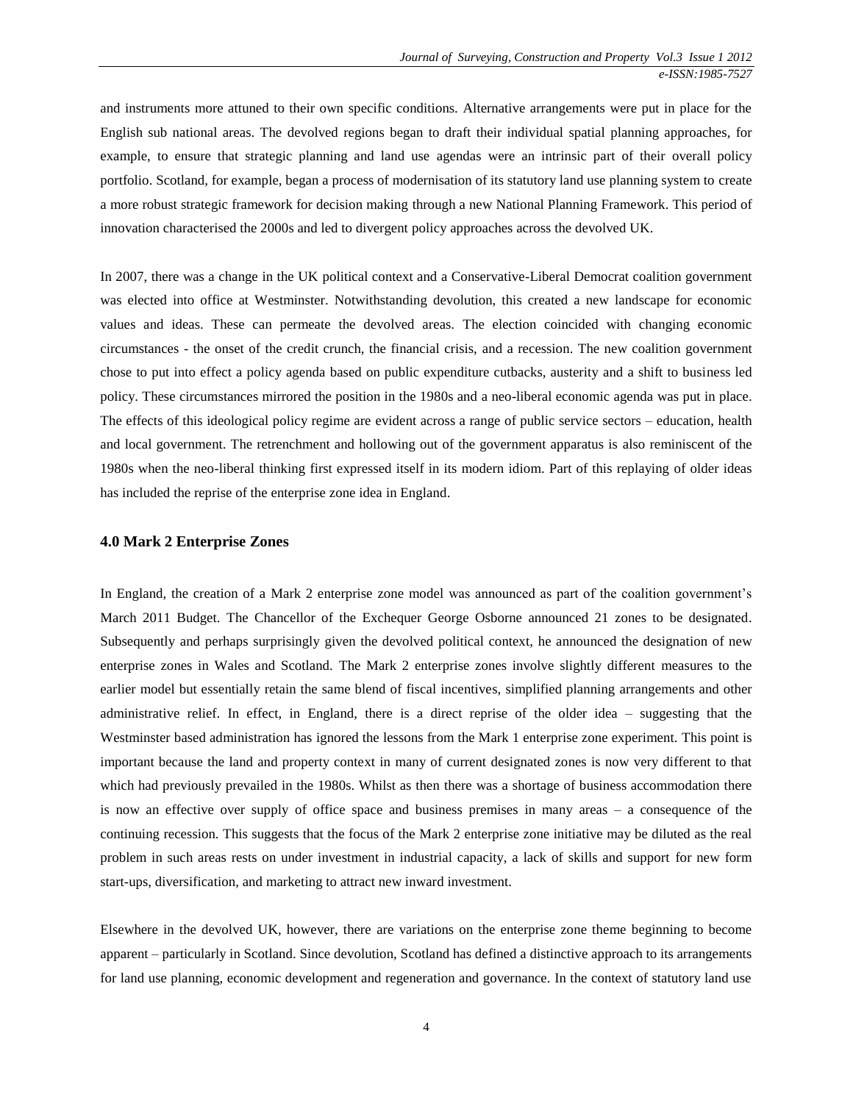and instruments more attuned to their own specific conditions. Alternative arrangements were put in place for the English sub national areas. The devolved regions began to draft their individual spatial planning approaches, for example, to ensure that strategic planning and land use agendas were an intrinsic part of their overall policy portfolio. Scotland, for example, began a process of modernisation of its statutory land use planning system to create a more robust strategic framework for decision making through a new National Planning Framework. This period of innovation characterised the 2000s and led to divergent policy approaches across the devolved UK.

In 2007, there was a change in the UK political context and a Conservative-Liberal Democrat coalition government was elected into office at Westminster. Notwithstanding devolution, this created a new landscape for economic values and ideas. These can permeate the devolved areas. The election coincided with changing economic circumstances - the onset of the credit crunch, the financial crisis, and a recession. The new coalition government chose to put into effect a policy agenda based on public expenditure cutbacks, austerity and a shift to business led policy. These circumstances mirrored the position in the 1980s and a neo-liberal economic agenda was put in place. The effects of this ideological policy regime are evident across a range of public service sectors – education, health and local government. The retrenchment and hollowing out of the government apparatus is also reminiscent of the 1980s when the neo-liberal thinking first expressed itself in its modern idiom. Part of this replaying of older ideas has included the reprise of the enterprise zone idea in England.

#### **4.0 Mark 2 Enterprise Zones**

In England, the creation of a Mark 2 enterprise zone model was announced as part of the coalition government's March 2011 Budget. The Chancellor of the Exchequer George Osborne announced 21 zones to be designated. Subsequently and perhaps surprisingly given the devolved political context, he announced the designation of new enterprise zones in Wales and Scotland. The Mark 2 enterprise zones involve slightly different measures to the earlier model but essentially retain the same blend of fiscal incentives, simplified planning arrangements and other administrative relief. In effect, in England, there is a direct reprise of the older idea – suggesting that the Westminster based administration has ignored the lessons from the Mark 1 enterprise zone experiment. This point is important because the land and property context in many of current designated zones is now very different to that which had previously prevailed in the 1980s. Whilst as then there was a shortage of business accommodation there is now an effective over supply of office space and business premises in many areas – a consequence of the continuing recession. This suggests that the focus of the Mark 2 enterprise zone initiative may be diluted as the real problem in such areas rests on under investment in industrial capacity, a lack of skills and support for new form start-ups, diversification, and marketing to attract new inward investment.

Elsewhere in the devolved UK, however, there are variations on the enterprise zone theme beginning to become apparent – particularly in Scotland. Since devolution, Scotland has defined a distinctive approach to its arrangements for land use planning, economic development and regeneration and governance. In the context of statutory land use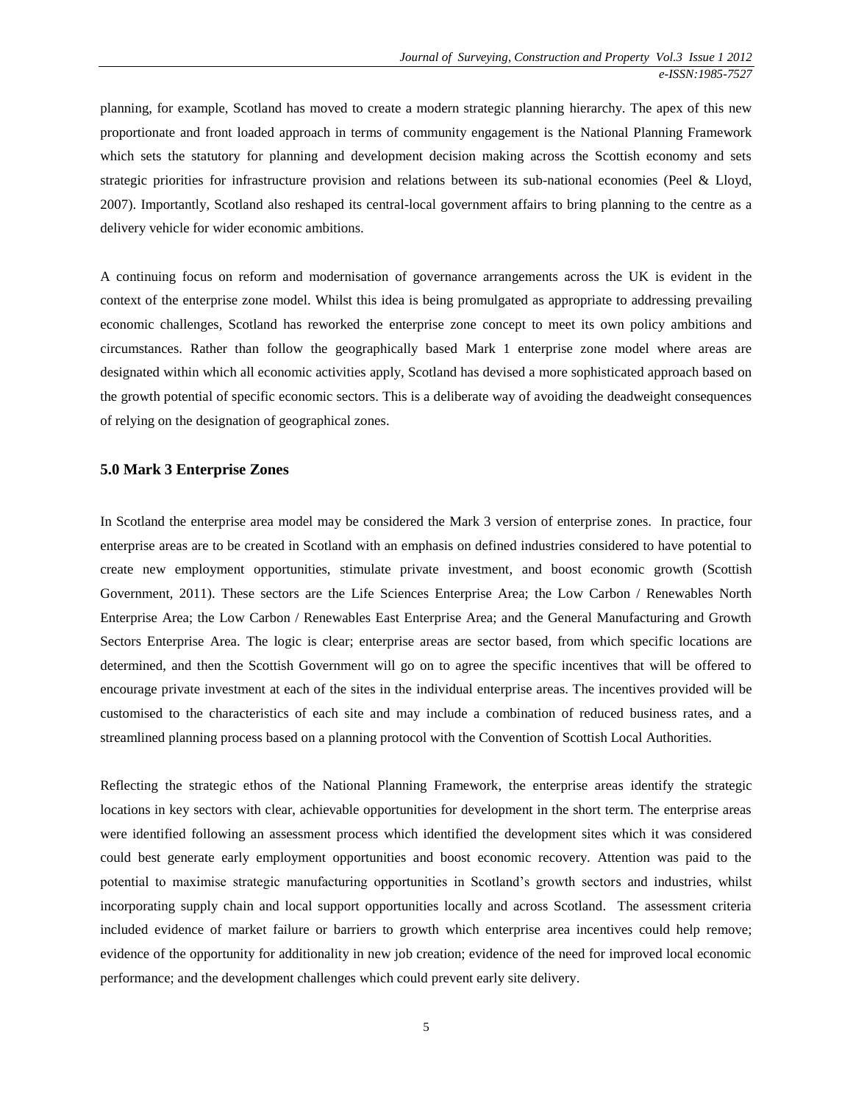planning, for example, Scotland has moved to create a modern strategic planning hierarchy. The apex of this new proportionate and front loaded approach in terms of community engagement is the National Planning Framework which sets the statutory for planning and development decision making across the Scottish economy and sets strategic priorities for infrastructure provision and relations between its sub-national economies (Peel & Lloyd, 2007). Importantly, Scotland also reshaped its central-local government affairs to bring planning to the centre as a delivery vehicle for wider economic ambitions.

A continuing focus on reform and modernisation of governance arrangements across the UK is evident in the context of the enterprise zone model. Whilst this idea is being promulgated as appropriate to addressing prevailing economic challenges, Scotland has reworked the enterprise zone concept to meet its own policy ambitions and circumstances. Rather than follow the geographically based Mark 1 enterprise zone model where areas are designated within which all economic activities apply, Scotland has devised a more sophisticated approach based on the growth potential of specific economic sectors. This is a deliberate way of avoiding the deadweight consequences of relying on the designation of geographical zones.

#### **5.0 Mark 3 Enterprise Zones**

In Scotland the enterprise area model may be considered the Mark 3 version of enterprise zones. In practice, four enterprise areas are to be created in Scotland with an emphasis on defined industries considered to have potential to create new employment opportunities, stimulate private investment, and boost economic growth (Scottish Government, 2011). These sectors are the Life Sciences Enterprise Area; the Low Carbon / Renewables North Enterprise Area; the Low Carbon / Renewables East Enterprise Area; and the General Manufacturing and Growth Sectors Enterprise Area. The logic is clear; enterprise areas are sector based, from which specific locations are determined, and then the Scottish Government will go on to agree the specific incentives that will be offered to encourage private investment at each of the sites in the individual enterprise areas. The incentives provided will be customised to the characteristics of each site and may include a combination of reduced business rates, and a streamlined planning process based on a planning protocol with the Convention of Scottish Local Authorities.

Reflecting the strategic ethos of the National Planning Framework, the enterprise areas identify the strategic locations in key sectors with clear, achievable opportunities for development in the short term. The enterprise areas were identified following an assessment process which identified the development sites which it was considered could best generate early employment opportunities and boost economic recovery. Attention was paid to the potential to maximise strategic manufacturing opportunities in Scotland's growth sectors and industries, whilst incorporating supply chain and local support opportunities locally and across Scotland. The assessment criteria included evidence of market failure or barriers to growth which enterprise area incentives could help remove; evidence of the opportunity for additionality in new job creation; evidence of the need for improved local economic performance; and the development challenges which could prevent early site delivery.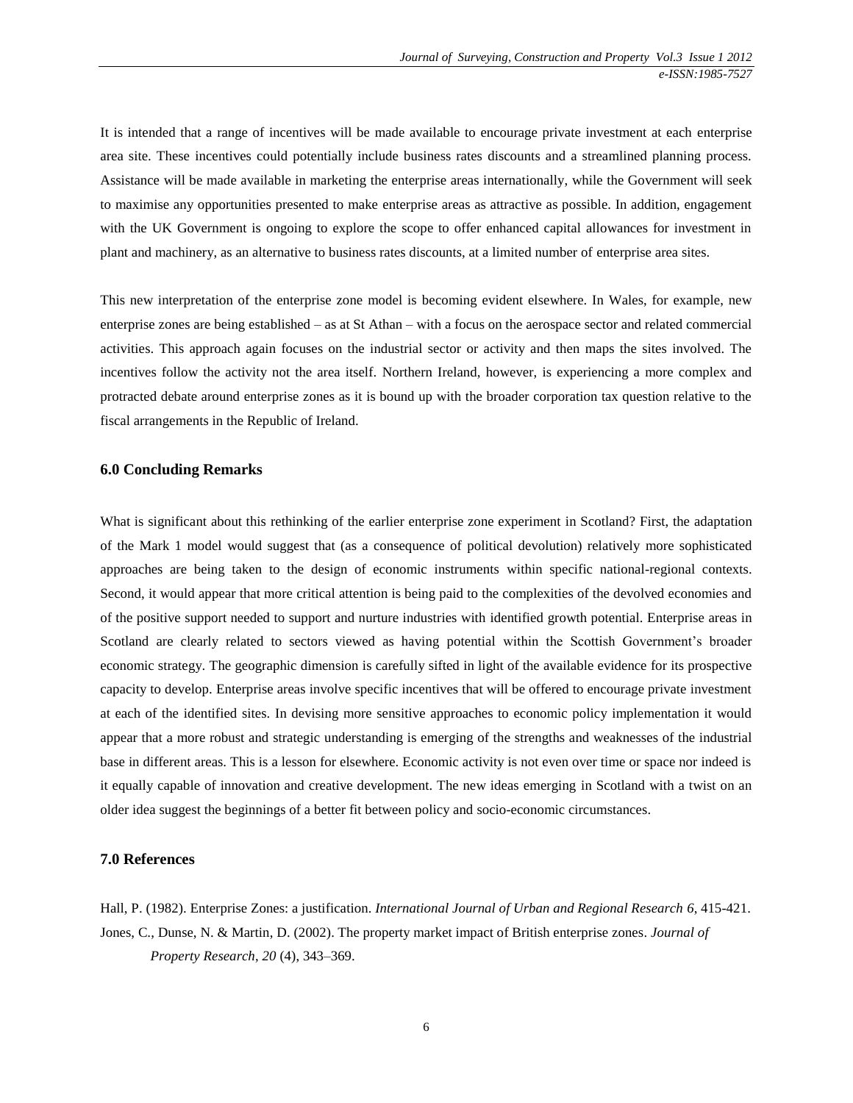It is intended that a range of incentives will be made available to encourage private investment at each enterprise area site. These incentives could potentially include business rates discounts and a streamlined planning process. Assistance will be made available in marketing the enterprise areas internationally, while the Government will seek to maximise any opportunities presented to make enterprise areas as attractive as possible. In addition, engagement with the UK Government is ongoing to explore the scope to offer enhanced capital allowances for investment in plant and machinery, as an alternative to business rates discounts, at a limited number of enterprise area sites.

This new interpretation of the enterprise zone model is becoming evident elsewhere. In Wales, for example, new enterprise zones are being established – as at St Athan – with a focus on the aerospace sector and related commercial activities. This approach again focuses on the industrial sector or activity and then maps the sites involved. The incentives follow the activity not the area itself. Northern Ireland, however, is experiencing a more complex and protracted debate around enterprise zones as it is bound up with the broader corporation tax question relative to the fiscal arrangements in the Republic of Ireland.

#### **6.0 Concluding Remarks**

What is significant about this rethinking of the earlier enterprise zone experiment in Scotland? First, the adaptation of the Mark 1 model would suggest that (as a consequence of political devolution) relatively more sophisticated approaches are being taken to the design of economic instruments within specific national-regional contexts. Second, it would appear that more critical attention is being paid to the complexities of the devolved economies and of the positive support needed to support and nurture industries with identified growth potential. Enterprise areas in Scotland are clearly related to sectors viewed as having potential within the Scottish Government's broader economic strategy. The geographic dimension is carefully sifted in light of the available evidence for its prospective capacity to develop. Enterprise areas involve specific incentives that will be offered to encourage private investment at each of the identified sites. In devising more sensitive approaches to economic policy implementation it would appear that a more robust and strategic understanding is emerging of the strengths and weaknesses of the industrial base in different areas. This is a lesson for elsewhere. Economic activity is not even over time or space nor indeed is it equally capable of innovation and creative development. The new ideas emerging in Scotland with a twist on an older idea suggest the beginnings of a better fit between policy and socio-economic circumstances.

### **7.0 References**

Hall, P. (1982). Enterprise Zones: a justification. *International Journal of Urban and Regional Research 6*, 415-421. Jones, C., Dunse, N. & Martin, D. (2002). The property market impact of British enterprise zones. *Journal of Property Research*, *20* (4), 343–369.